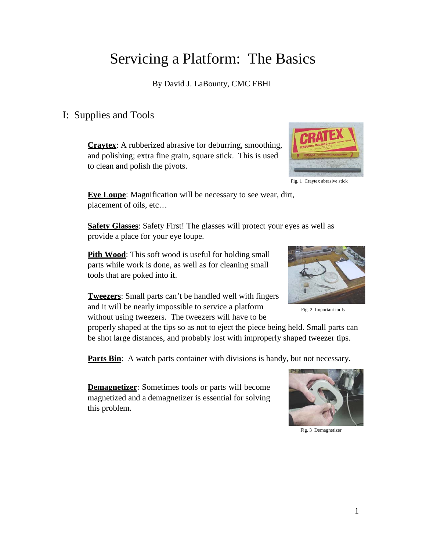# Servicing a Platform: The Basics

By David J. LaBounty, CMC FBHI

## I: Supplies and Tools

**Craytex**: A rubberized abrasive for deburring, smoothing, and polishing; extra fine grain, square stick. This is used to clean and polish the pivots.



Fig. 1 Craytex abrasive stick

**Eye Loupe**: Magnification will be necessary to see wear, dirt, placement of oils, etc…

**Safety Glasses**: Safety First! The glasses will protect your eyes as well as provide a place for your eye loupe.

**Pith Wood**: This soft wood is useful for holding small parts while work is done, as well as for cleaning small tools that are poked into it.

**Tweezers**: Small parts can't be handled well with fingers and it will be nearly impossible to service a platform without using tweezers. The tweezers will have to be



Fig. 2 Important tools

properly shaped at the tips so as not to eject the piece being held. Small parts can be shot large distances, and probably lost with improperly shaped tweezer tips.

**Parts Bin**: A watch parts container with divisions is handy, but not necessary.

**Demagnetizer**: Sometimes tools or parts will become magnetized and a demagnetizer is essential for solving this problem.



Fig. 3 Demagnetizer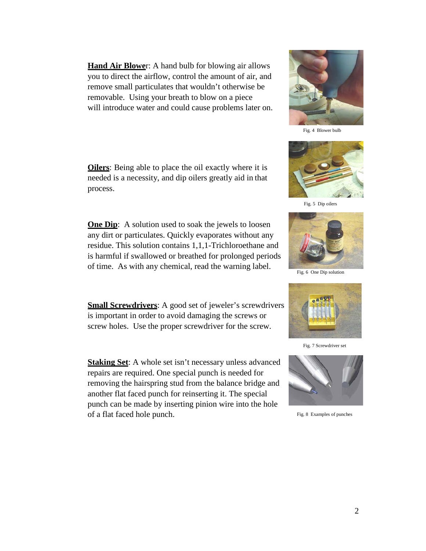**Hand Air Blowe**r: A hand bulb for blowing air allows you to direct the airflow, control the amount of air, and remove small particulates that wouldn't otherwise be removable. Using your breath to blow on a piece will introduce water and could cause problems later on.

**Oilers**: Being able to place the oil exactly where it is needed is a necessity, and dip oilers greatly aid in that process.

**One Dip**: A solution used to soak the jewels to loosen any dirt or particulates. Quickly evaporates without any residue. This solution contains 1,1,1-Trichloroethane and is harmful if swallowed or breathed for prolonged periods of time. As with any chemical, read the warning label.

**Small Screwdrivers:** A good set of jeweler's screwdrivers is important in order to avoid damaging the screws or screw holes. Use the proper screwdriver for the screw.

**Staking Set**: A whole set isn't necessary unless advanced repairs are required. One special punch is needed for removing the hairspring stud from the balance bridge and another flat faced punch for reinserting it. The special punch can be made by inserting pinion wire into the hole of a flat faced hole punch.



Fig. 4 Blower bulb



Fig. 5 Dip oilers



Fig. 6 One Dip solution



Fig. 7 Screwdriver set



Fig. 8 Examples of punches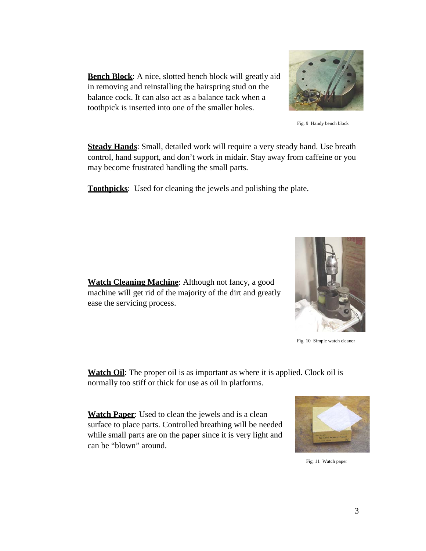**Bench Block**: A nice, slotted bench block will greatly aid in removing and reinstalling the hairspring stud on the balance cock. It can also act as a balance tack when a toothpick is inserted into one of the smaller holes.



Fig. 9 Handy bench block

**Steady Hands**: Small, detailed work will require a very steady hand. Use breath control, hand support, and don't work in midair. Stay away from caffeine or you may become frustrated handling the small parts.

**Toothpicks**: Used for cleaning the jewels and polishing the plate.



Fig. 10 Simple watch cleaner

**Watch Cleaning Machine**: Although not fancy, a good machine will get rid of the majority of the dirt and greatly ease the servicing process.

**Watch Oil:** The proper oil is as important as where it is applied. Clock oil is normally too stiff or thick for use as oil in platforms.

**Watch Paper**: Used to clean the jewels and is a clean surface to place parts. Controlled breathing will be needed while small parts are on the paper since it is very light and can be "blown" around.



Fig. 11 Watch paper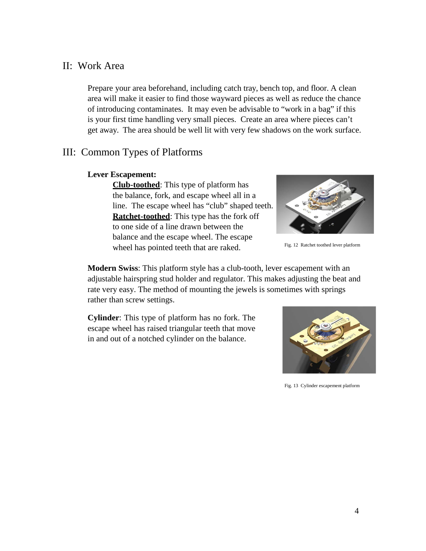#### II: Work Area

Prepare your area beforehand, including catch tray, bench top, and floor. A clean area will make it easier to find those wayward pieces as well as reduce the chance of introducing contaminates. It may even be advisable to "work in a bag" if this is your first time handling very small pieces. Create an area where pieces can't get away. The area should be well lit with very few shadows on the work surface.

### III: Common Types of Platforms

#### **Lever Escapement:**

**Club-toothed**: This type of platform has the balance, fork, and escape wheel all in a line. The escape wheel has "club" shaped teeth. **Ratchet-toothed**: This type has the fork off to one side of a line drawn between the balance and the escape wheel. The escape wheel has pointed teeth that are raked. Fig. 12 Ratchet toothed lever platform



**Modern Swiss**: This platform style has a club-tooth, lever escapement with an adjustable hairspring stud holder and regulator. This makes adjusting the beat and rate very easy. The method of mounting the jewels is sometimes with springs rather than screw settings.

**Cylinder**: This type of platform has no fork. The escape wheel has raised triangular teeth that move in and out of a notched cylinder on the balance.



Fig. 13 Cylinder escapement platform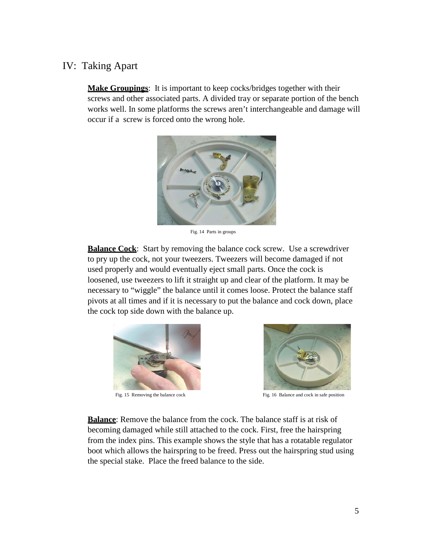## IV: Taking Apart

**Make Groupings**: It is important to keep cocks/bridges together with their screws and other associated parts. A divided tray or separate portion of the bench works well. In some platforms the screws aren't interchangeable and damage will occur if a screw is forced onto the wrong hole.



Fig. 14 Parts in groups

**Balance Cock**: Start by removing the balance cock screw. Use a screwdriver to pry up the cock, not your tweezers. Tweezers will become damaged if not used properly and would eventually eject small parts. Once the cock is loosened, use tweezers to lift it straight up and clear of the platform. It may be necessary to "wiggle" the balance until it comes loose. Protect the balance staff pivots at all times and if it is necessary to put the balance and cock down, place the cock top side down with the balance up.





Fig. 15 Removing the balance cock Fig. 16 Balance and cock in safe position

**Balance**: Remove the balance from the cock. The balance staff is at risk of becoming damaged while still attached to the cock. First, free the hairspring from the index pins. This example shows the style that has a rotatable regulator boot which allows the hairspring to be freed. Press out the hairspring stud using the special stake. Place the freed balance to the side.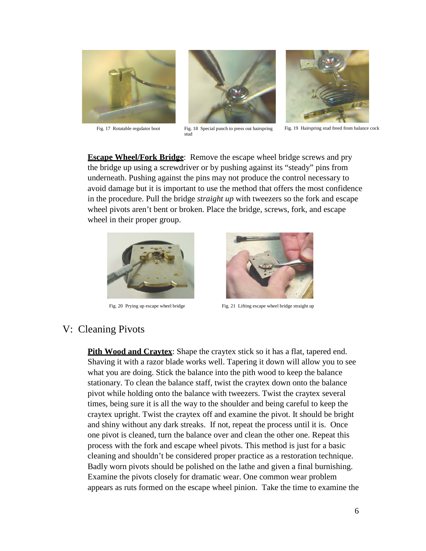



Fig. 17 Rotatable regulator boot Fig. 18 Special punch to press out hairspring stud



Fig. 19 Hairspring stud freed from balance cock

**Escape Wheel/Fork Bridge**: Remove the escape wheel bridge screws and pry the bridge up using a screwdriver or by pushing against its "steady" pins from underneath. Pushing against the pins may not produce the control necessary to avoid damage but it is important to use the method that offers the most confidence in the procedure. Pull the bridge *straight up* with tweezers so the fork and escape wheel pivots aren't bent or broken. Place the bridge, screws, fork, and escape wheel in their proper group.





Fig. 20 Prying up escape wheel bridge Fig. 21 Lifting escape wheel bridge straight up

#### V: Cleaning Pivots

**Pith Wood and Craytex:** Shape the craytex stick so it has a flat, tapered end. Shaving it with a razor blade works well. Tapering it down will allow you to see what you are doing. Stick the balance into the pith wood to keep the balance stationary. To clean the balance staff, twist the craytex down onto the balance pivot while holding onto the balance with tweezers. Twist the craytex several times, being sure it is all the way to the shoulder and being careful to keep the craytex upright. Twist the craytex off and examine the pivot. It should be bright and shiny without any dark streaks. If not, repeat the process until it is. Once one pivot is cleaned, turn the balance over and clean the other one. Repeat this process with the fork and escape wheel pivots. This method is just for a basic cleaning and shouldn't be considered proper practice as a restoration technique. Badly worn pivots should be polished on the lathe and given a final burnishing. Examine the pivots closely for dramatic wear. One common wear problem appears as ruts formed on the escape wheel pinion. Take the time to examine the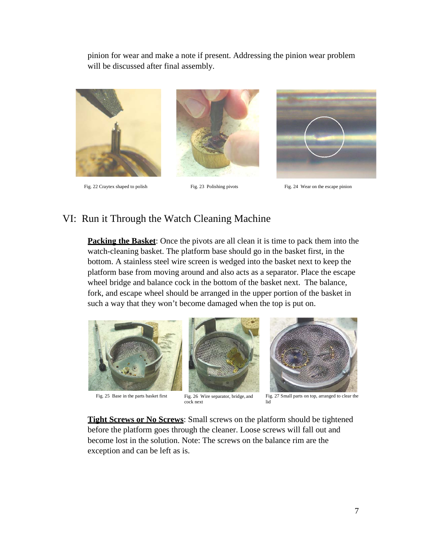pinion for wear and make a note if present. Addressing the pinion wear problem will be discussed after final assembly.







Fig. 22 Craytex shaped to polish Fig. 23 Polishing pivots Fig. 24 Wear on the escape pinion

#### VI: Run it Through the Watch Cleaning Machine

**Packing the Basket:** Once the pivots are all clean it is time to pack them into the watch-cleaning basket. The platform base should go in the basket first, in the bottom. A stainless steel wire screen is wedged into the basket next to keep the platform base from moving around and also acts as a separator. Place the escape wheel bridge and balance cock in the bottom of the basket next. The balance, fork, and escape wheel should be arranged in the upper portion of the basket in such a way that they won't become damaged when the top is put on.







Fig. 25 Base in the parts basket first Fig. 26 Wire separator, bridge, and cock next

Fig. 27 Small parts on top, arranged to clear the lid

**Tight Screws or No Screws**: Small screws on the platform should be tightened before the platform goes through the cleaner. Loose screws will fall out and become lost in the solution. Note: The screws on the balance rim are the exception and can be left as is.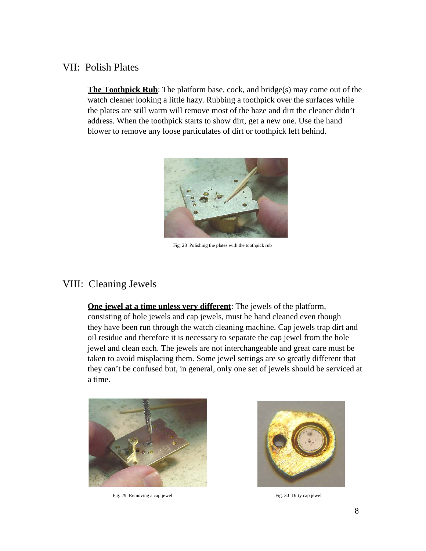#### VII: Polish Plates

**The Toothpick Rub**: The platform base, cock, and bridge(s) may come out of the watch cleaner looking a little hazy. Rubbing a toothpick over the surfaces while the plates are still warm will remove most of the haze and dirt the cleaner didn't address. When the toothpick starts to show dirt, get a new one. Use the hand blower to remove any loose particulates of dirt or toothpick left behind.



Fig. 28 Polishing the plates with the toothpick rub

## VIII: Cleaning Jewels

**One jewel at a time unless very different**: The jewels of the platform, consisting of hole jewels and cap jewels, must be hand cleaned even though they have been run through the watch cleaning machine. Cap jewels trap dirt and oil residue and therefore it is necessary to separate the cap jewel from the hole jewel and clean each. The jewels are not interchangeable and great care must be taken to avoid misplacing them. Some jewel settings are so greatly different that they can't be confused but, in general, only one set of jewels should be serviced at a time.



Fig. 29 Removing a cap jewel Fig. 30 Dirty cap jewel Fig. 30 Dirty cap jewel

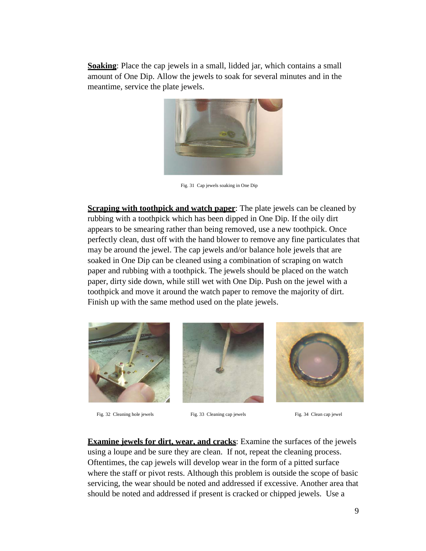**Soaking**: Place the cap jewels in a small, lidded jar, which contains a small amount of One Dip. Allow the jewels to soak for several minutes and in the meantime, service the plate jewels.



Fig. 31 Cap jewels soaking in One Dip

**Scraping with toothpick and watch paper**: The plate jewels can be cleaned by rubbing with a toothpick which has been dipped in One Dip. If the oily dirt appears to be smearing rather than being removed, use a new toothpick. Once perfectly clean, dust off with the hand blower to remove any fine particulates that may be around the jewel. The cap jewels and/or balance hole jewels that are soaked in One Dip can be cleaned using a combination of scraping on watch paper and rubbing with a toothpick. The jewels should be placed on the watch paper, dirty side down, while still wet with One Dip. Push on the jewel with a toothpick and move it around the watch paper to remove the majority of dirt. Finish up with the same method used on the plate jewels.



Fig. 32 Cleaning hole jewels Fig. 33 Cleaning cap jewels Fig. 34 Clean cap jewel





**Examine jewels for dirt, wear, and cracks**: Examine the surfaces of the jewels using a loupe and be sure they are clean. If not, repeat the cleaning process. Oftentimes, the cap jewels will develop wear in the form of a pitted surface where the staff or pivot rests. Although this problem is outside the scope of basic servicing, the wear should be noted and addressed if excessive. Another area that should be noted and addressed if present is cracked or chipped jewels. Use a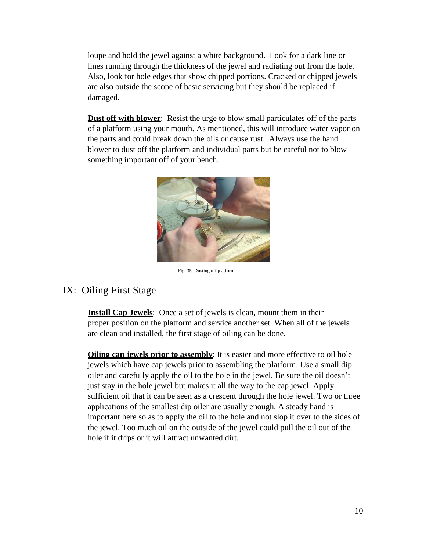loupe and hold the jewel against a white background. Look for a dark line or lines running through the thickness of the jewel and radiating out from the hole. Also, look for hole edges that show chipped portions. Cracked or chipped jewels are also outside the scope of basic servicing but they should be replaced if damaged.

**Dust off with blower**: Resist the urge to blow small particulates off of the parts of a platform using your mouth. As mentioned, this will introduce water vapor on the parts and could break down the oils or cause rust. Always use the hand blower to dust off the platform and individual parts but be careful not to blow something important off of your bench.



Fig. 35 Dusting off platform

#### IX: Oiling First Stage

**Install Cap Jewels:** Once a set of jewels is clean, mount them in their proper position on the platform and service another set. When all of the jewels are clean and installed, the first stage of oiling can be done.

**Oiling cap jewels prior to assembly**: It is easier and more effective to oil hole jewels which have cap jewels prior to assembling the platform. Use a small dip oiler and carefully apply the oil to the hole in the jewel. Be sure the oil doesn't just stay in the hole jewel but makes it all the way to the cap jewel. Apply sufficient oil that it can be seen as a crescent through the hole jewel. Two or three applications of the smallest dip oiler are usually enough. A steady hand is important here so as to apply the oil to the hole and not slop it over to the sides of the jewel. Too much oil on the outside of the jewel could pull the oil out of the hole if it drips or it will attract unwanted dirt.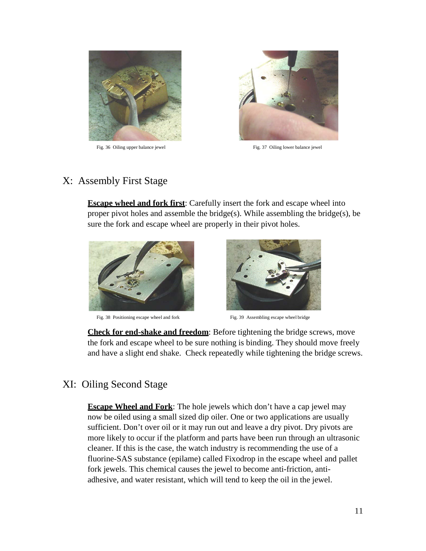

Fig. 36 Oiling upper balance jewel Fig. 37 Oiling lower balance jewel



## X: Assembly First Stage

**Escape wheel and fork first**: Carefully insert the fork and escape wheel into proper pivot holes and assemble the bridge(s). While assembling the bridge(s), be sure the fork and escape wheel are properly in their pivot holes.



Fig. 38 Positioning escape wheel and fork Fig. 39 Assembling escape wheel bridge



**Check for end-shake and freedom**: Before tightening the bridge screws, move the fork and escape wheel to be sure nothing is binding. They should move freely and have a slight end shake. Check repeatedly while tightening the bridge screws.

### XI: Oiling Second Stage

**Escape Wheel and Fork**: The hole jewels which don't have a cap jewel may now be oiled using a small sized dip oiler. One or two applications are usually sufficient. Don't over oil or it may run out and leave a dry pivot. Dry pivots are more likely to occur if the platform and parts have been run through an ultrasonic cleaner. If this is the case, the watch industry is recommending the use of a fluorine-SAS substance (epilame) called Fixodrop in the escape wheel and pallet fork jewels. This chemical causes the jewel to become anti-friction, antiadhesive, and water resistant, which will tend to keep the oil in the jewel.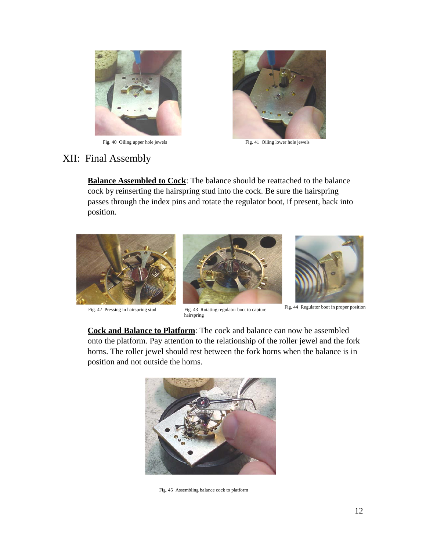

Fig. 40 Oiling upper hole jewels Fig. 41 Oiling lower hole jewels



## XII: Final Assembly

**Balance Assembled to Cock**: The balance should be reattached to the balance cock by reinserting the hairspring stud into the cock. Be sure the hairspring passes through the index pins and rotate the regulator boot, if present, back into position.



Fig. 42 Pressing in hairspring stud Fig. 43 Rotating regulator boot to capture





Fig. 44 Regulator boot in proper position

**Cock and Balance to Platform**: The cock and balance can now be assembled onto the platform. Pay attention to the relationship of the roller jewel and the fork horns. The roller jewel should rest between the fork horns when the balance is in position and not outside the horns.

hairspring



Fig. 45 Assembling balance cock to platform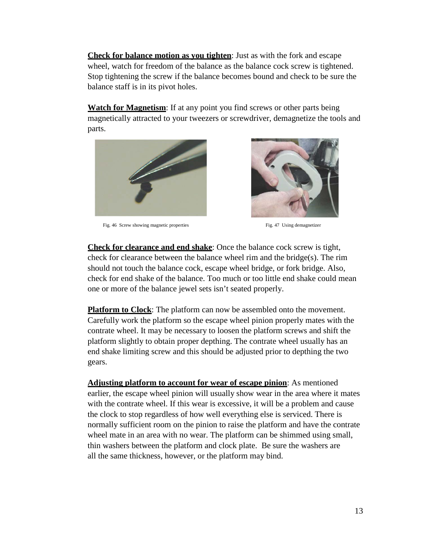**Check for balance motion as you tighten**: Just as with the fork and escape wheel, watch for freedom of the balance as the balance cock screw is tightened. Stop tightening the screw if the balance becomes bound and check to be sure the balance staff is in its pivot holes.

**Watch for Magnetism**: If at any point you find screws or other parts being magnetically attracted to your tweezers or screwdriver, demagnetize the tools and parts.



Fig. 46 Screw showing magnetic properties Fig. 47 Using demagnetizer



**Check for clearance and end shake**: Once the balance cock screw is tight, check for clearance between the balance wheel rim and the bridge(s). The rim should not touch the balance cock, escape wheel bridge, or fork bridge. Also, check for end shake of the balance. Too much or too little end shake could mean one or more of the balance jewel sets isn't seated properly.

**Platform to Clock**: The platform can now be assembled onto the movement. Carefully work the platform so the escape wheel pinion properly mates with the contrate wheel. It may be necessary to loosen the platform screws and shift the platform slightly to obtain proper depthing. The contrate wheel usually has an end shake limiting screw and this should be adjusted prior to depthing the two gears.

**Adjusting platform to account for wear of escape pinion**: As mentioned earlier, the escape wheel pinion will usually show wear in the area where it mates with the contrate wheel. If this wear is excessive, it will be a problem and cause the clock to stop regardless of how well everything else is serviced. There is normally sufficient room on the pinion to raise the platform and have the contrate wheel mate in an area with no wear. The platform can be shimmed using small, thin washers between the platform and clock plate. Be sure the washers are all the same thickness, however, or the platform may bind.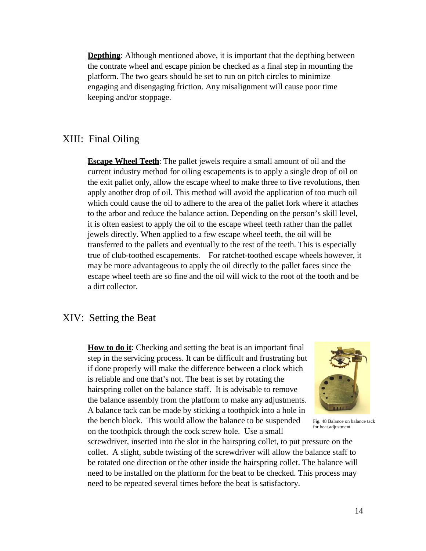**Depthing:** Although mentioned above, it is important that the depthing between the contrate wheel and escape pinion be checked as a final step in mounting the platform. The two gears should be set to run on pitch circles to minimize engaging and disengaging friction. Any misalignment will cause poor time keeping and/or stoppage.

## XIII: Final Oiling

**Escape Wheel Teeth**: The pallet jewels require a small amount of oil and the current industry method for oiling escapements is to apply a single drop of oil on the exit pallet only, allow the escape wheel to make three to five revolutions, then apply another drop of oil. This method will avoid the application of too much oil which could cause the oil to adhere to the area of the pallet fork where it attaches to the arbor and reduce the balance action. Depending on the person's skill level, it is often easiest to apply the oil to the escape wheel teeth rather than the pallet jewels directly. When applied to a few escape wheel teeth, the oil will be transferred to the pallets and eventually to the rest of the teeth. This is especially true of club-toothed escapements. For ratchet-toothed escape wheels however, it may be more advantageous to apply the oil directly to the pallet faces since the escape wheel teeth are so fine and the oil will wick to the root of the tooth and be a dirt collector.

#### XIV: Setting the Beat

**How to do it:** Checking and setting the beat is an important final step in the servicing process. It can be difficult and frustrating but if done properly will make the difference between a clock which is reliable and one that's not. The beat is set by rotating the hairspring collet on the balance staff. It is advisable to remove the balance assembly from the platform to make any adjustments. A balance tack can be made by sticking a toothpick into a hole in the bench block. This would allow the balance to be suspended on the toothpick through the cock screw hole. Use a small



Fig. 48 Balance on balance tack for beat adjustment

screwdriver, inserted into the slot in the hairspring collet, to put pressure on the collet. A slight, subtle twisting of the screwdriver will allow the balance staff to be rotated one direction or the other inside the hairspring collet. The balance will need to be installed on the platform for the beat to be checked. This process may need to be repeated several times before the beat is satisfactory.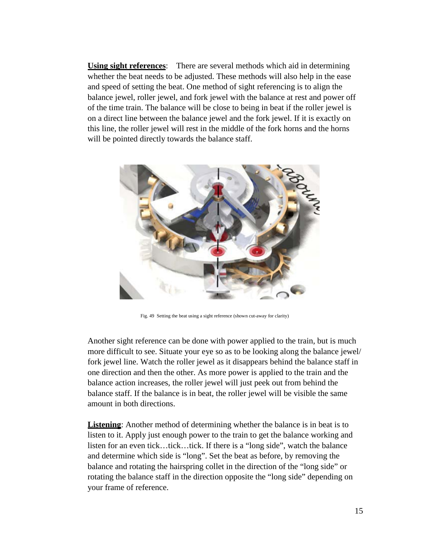**Using sight references**: There are several methods which aid in determining whether the beat needs to be adjusted. These methods will also help in the ease and speed of setting the beat. One method of sight referencing is to align the balance jewel, roller jewel, and fork jewel with the balance at rest and power off of the time train. The balance will be close to being in beat if the roller jewel is on a direct line between the balance jewel and the fork jewel. If it is exactly on this line, the roller jewel will rest in the middle of the fork horns and the horns will be pointed directly towards the balance staff.



Fig. 49 Setting the beat using a sight reference (shown cut-away for clarity)

Another sight reference can be done with power applied to the train, but is much more difficult to see. Situate your eye so as to be looking along the balance jewel/ fork jewel line. Watch the roller jewel as it disappears behind the balance staff in one direction and then the other. As more power is applied to the train and the balance action increases, the roller jewel will just peek out from behind the balance staff. If the balance is in beat, the roller jewel will be visible the same amount in both directions.

**Listening**: Another method of determining whether the balance is in beat is to listen to it. Apply just enough power to the train to get the balance working and listen for an even tick…tick…tick. If there is a "long side", watch the balance and determine which side is "long". Set the beat as before, by removing the balance and rotating the hairspring collet in the direction of the "long side" or rotating the balance staff in the direction opposite the "long side" depending on your frame of reference.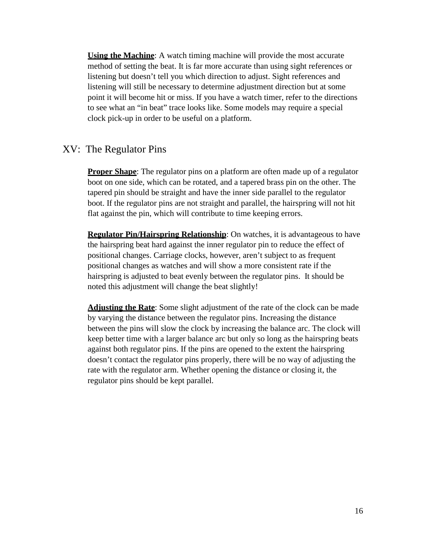**Using the Machine**: A watch timing machine will provide the most accurate method of setting the beat. It is far more accurate than using sight references or listening but doesn't tell you which direction to adjust. Sight references and listening will still be necessary to determine adjustment direction but at some point it will become hit or miss. If you have a watch timer, refer to the directions to see what an "in beat" trace looks like. Some models may require a special clock pick-up in order to be useful on a platform.

#### XV: The Regulator Pins

**Proper Shape**: The regulator pins on a platform are often made up of a regulator boot on one side, which can be rotated, and a tapered brass pin on the other. The tapered pin should be straight and have the inner side parallel to the regulator boot. If the regulator pins are not straight and parallel, the hairspring will not hit flat against the pin, which will contribute to time keeping errors.

**Regulator Pin/Hairspring Relationship**: On watches, it is advantageous to have the hairspring beat hard against the inner regulator pin to reduce the effect of positional changes. Carriage clocks, however, aren't subject to as frequent positional changes as watches and will show a more consistent rate if the hairspring is adjusted to beat evenly between the regulator pins. It should be noted this adjustment will change the beat slightly!

**Adjusting the Rate**: Some slight adjustment of the rate of the clock can be made by varying the distance between the regulator pins. Increasing the distance between the pins will slow the clock by increasing the balance arc. The clock will keep better time with a larger balance arc but only so long as the hairspring beats against both regulator pins. If the pins are opened to the extent the hairspring doesn't contact the regulator pins properly, there will be no way of adjusting the rate with the regulator arm. Whether opening the distance or closing it, the regulator pins should be kept parallel.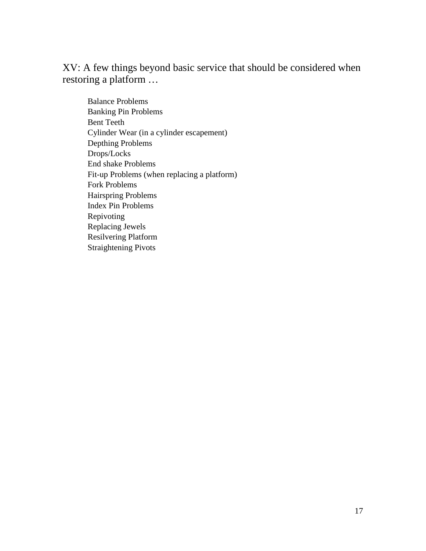XV: A few things beyond basic service that should be considered when restoring a platform …

Balance Problems Banking Pin Problems Bent Teeth Cylinder Wear (in a cylinder escapement) Depthing Problems Drops/Locks End shake Problems Fit-up Problems (when replacing a platform) Fork Problems Hairspring Problems Index Pin Problems Repivoting Replacing Jewels Resilvering Platform Straightening Pivots